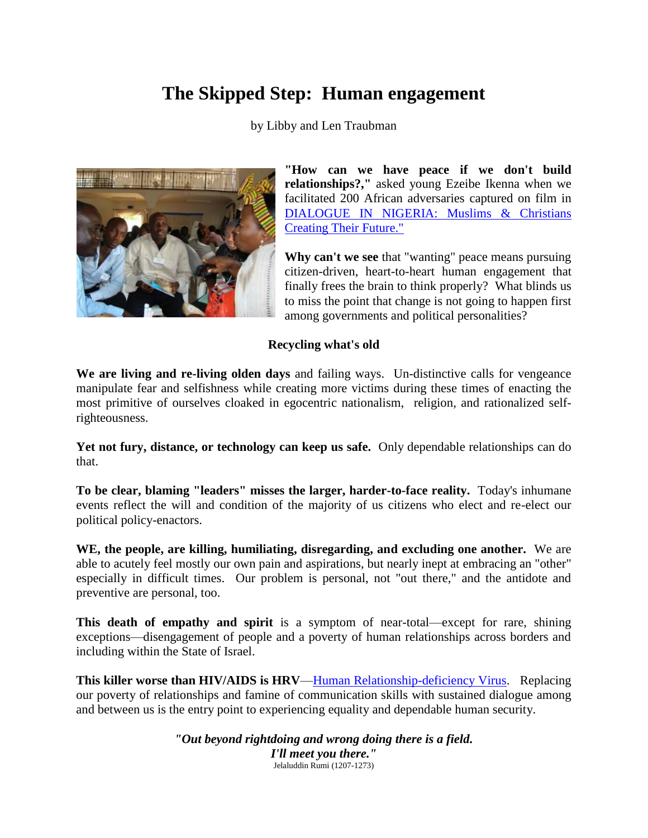# **The Skipped Step: Human engagement**

by Libby and Len Traubman



**"How can we have peace if we don't build relationships?,"** asked young Ezeibe Ikenna when we facilitated 200 African adversaries captured on film in [DIALOGUE IN NIGERIA: Muslims & Christians](http://traubman.igc.org/vidnigeria.htm)  [Creating Their Future."](http://traubman.igc.org/vidnigeria.htm)

**Why can't we see** that "wanting" peace means pursuing citizen-driven, heart-to-heart human engagement that finally frees the brain to think properly? What blinds us to miss the point that change is not going to happen first among governments and political personalities?

### **Recycling what's old**

**We are living and re-living olden days** and failing ways. Un-distinctive calls for vengeance manipulate fear and selfishness while creating more victims during these times of enacting the most primitive of ourselves cloaked in egocentric nationalism, religion, and rationalized selfrighteousness.

**Yet not fury, distance, or technology can keep us safe.** Only dependable relationships can do that.

**To be clear, blaming "leaders" misses the larger, harder-to-face reality.** Today's inhumane events reflect the will and condition of the majority of us citizens who elect and re-elect our political policy-enactors.

**WE, the people, are killing, humiliating, disregarding, and excluding one another.** We are able to acutely feel mostly our own pain and aspirations, but nearly inept at embracing an "other" especially in difficult times. Our problem is personal, not "out there," and the antidote and preventive are personal, too.

**This death of empathy and spirit** is a symptom of near-total—except for rare, shining exceptions—disengagement of people and a poverty of human relationships across borders and including within the State of Israel.

**This killer worse than HIV/AIDS is HRV[—Human Relationship-deficiency Virus.](http://traubman.igc.org/nigeriahrv.pdf)** Replacing our poverty of relationships and famine of communication skills with sustained dialogue among and between us is the entry point to experiencing equality and dependable human security.

> *"Out beyond rightdoing and wrong doing there is a field. I'll meet you there."* Jelaluddin Rumi (1207-1273)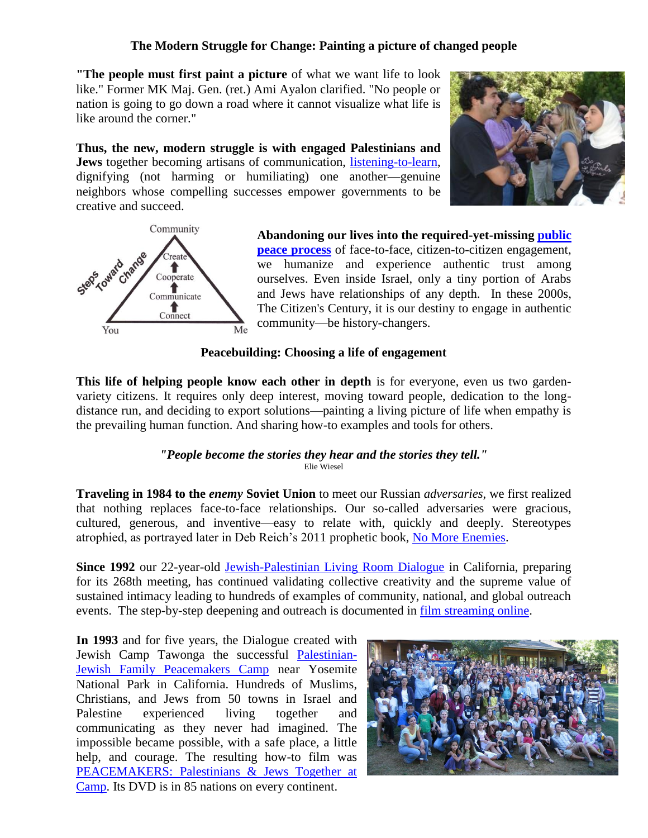## **The Modern Struggle for Change: Painting a picture of changed people**

**"The people must first paint a picture** of what we want life to look like." Former MK Maj. Gen. (ret.) Ami Ayalon clarified. "No people or nation is going to go down a road where it cannot visualize what life is like around the corner."

**Thus, the new, modern struggle is with engaged Palestinians and Jews** together becoming artisans of communication, [listening-to-learn,](http://traubman.igc.org/dialoguecommunication.htm) dignifying (not harming or humiliating) one another—genuine neighbors whose compelling successes empower governments to be creative and succeed.





**Abandoning our lives into the required-yet-missing [public](http://traubman.igc.org/changechartsall.pdf)  [peace process](http://traubman.igc.org/changechartsall.pdf)** of face-to-face, citizen-to-citizen engagement, we humanize and experience authentic trust among ourselves. Even inside Israel, only a tiny portion of Arabs and Jews have relationships of any depth. In these 2000s, The Citizen's Century, it is our destiny to engage in authentic community—be history-changers.

## **Peacebuilding: Choosing a life of engagement**

**This life of helping people know each other in depth** is for everyone, even us two gardenvariety citizens. It requires only deep interest, moving toward people, dedication to the longdistance run, and deciding to export solutions—painting a living picture of life when empathy is the prevailing human function. And sharing how-to examples and tools for others.

### *"People become the stories they hear and the stories they tell."*  Elie Wiesel

**Traveling in 1984 to the** *enemy* **Soviet Union** to meet our Russian *adversaries*, we first realized that nothing replaces face-to-face relationships. Our so-called adversaries were gracious, cultured, generous, and inventive—easy to relate with, quickly and deeply. Stereotypes atrophied, as portrayed later in Deb Reich's 2011 prophetic book, [No More Enemies.](http://www.nomoreenemies.net/)

**Since 1992** our 22-year-old [Jewish-Palestinian Living Room Dialogue](http://traubman.igc.org/dg-prog.htm) in California, preparing for its 268th meeting, has continued validating collective creativity and the supreme value of sustained intimacy leading to hundreds of examples of community, national, and global outreach events. The step-by-step deepening and outreach is documented in [film streaming online.](http://archive.org/details/20YearsOfPalestinian-jewishLivingRoomDialogue)

**In 1993** and for five years, the Dialogue created with Jewish Camp Tawonga the successful [Palestinian-](http://traubman.igc.org/camp2007.htm)[Jewish Family Peacemakers Camp](http://traubman.igc.org/camp2007.htm) near Yosemite National Park in California. Hundreds of Muslims, Christians, and Jews from 50 towns in Israel and Palestine experienced living together and communicating as they never had imagined. The impossible became possible, with a safe place, a little help, and courage. The resulting how-to film was [PEACEMAKERS: Palestinians & Jews Together at](http://traubman.igc.org/vidcamp.htm)  [Camp.](http://traubman.igc.org/vidcamp.htm) Its DVD is in 85 nations on every continent.